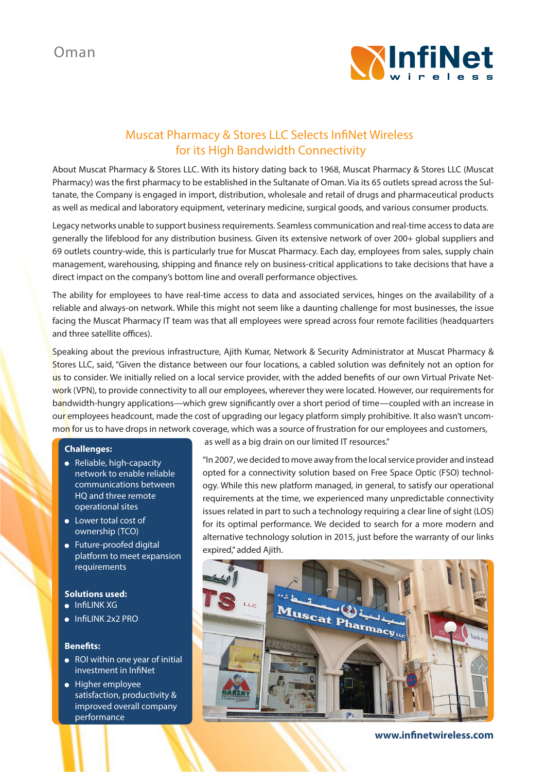

# Muscat Pharmacy & Stores LLC Selects InfiNet Wireless for its High Bandwidth Connectivity

About Muscat Pharmacy & Stores LLC. With its history dating back to 1968, Muscat Pharmacy & Stores LLC (Muscat Pharmacy) was the first pharmacy to be established in the Sultanate of Oman. Via its 65 outlets spread across the Sultanate, the Company is engaged in import, distribution, wholesale and retail of drugs and pharmaceutical products as well as medical and laboratory equipment, veterinary medicine, surgical goods, and various consumer products.

Legacy networks unable to support business requirements. Seamless communication and real-time access to data are generally the lifeblood for any distribution business. Given its extensive network of over 200+ global suppliers and 69 outlets country-wide, this is particularly true for Muscat Pharmacy. Each day, employees from sales, supply chain management, warehousing, shipping and finance rely on business-critical applications to take decisions that have a direct impact on the company's bottom line and overall performance objectives.

The ability for employees to have real-time access to data and associated services, hinges on the availability of a reliable and always-on network. While this might not seem like a daunting challenge for most businesses, the issue facing the Muscat Pharmacy IT team was that all employees were spread across four remote facilities (headquarters and three satellite offices).

Speaking about the previous infrastructure, Ajith Kumar, Network & Security Administrator at Muscat Pharmacy & Stores LLC, said, "Given the distance between our four locations, a cabled solution was definitely not an option for us to consider. We initially relied on a local service provider, with the added benefits of our own Virtual Private Network (VPN), to provide connectivity to all our employees, wherever they were located. However, our requirements for bandwidth-hungry applications—which grew significantly over a short period of time—coupled with an increase in our employees headcount, made the cost of upgrading our legacy platform simply prohibitive. It also wasn't uncommon for us to have drops in network coverage, which was a source of frustration for our employees and customers,

## **Challenges:**

- Reliable, high-capacity network to enable reliable communications between HQ and three remote operational sites
- **•** Lower total cost of ownership (TCO)
- Future-proofed digital platform to meet expansion requirements

### **Solutions used:**

- $\bullet$  InfiLINK XG
- lnfil INK 2x2 PRO

## **Benefits:**

- ROI within one year of initial investment in InfiNet
- **•** Higher employee satisfaction, productivity & improved overall company performance

as well as a big drain on our limited IT resources."

"In 2007, we decided to move away from the local service provider and instead opted for a connectivity solution based on Free Space Optic (FSO) technology. While this new platform managed, in general, to satisfy our operational requirements at the time, we experienced many unpredictable connectivity issues related in part to such a technology requiring a clear line of sight (LOS) for its optimal performance. We decided to search for a more modern and alternative technology solution in 2015, just before the warranty of our links expired," added Ajith.



**www.infinetwireless.com**